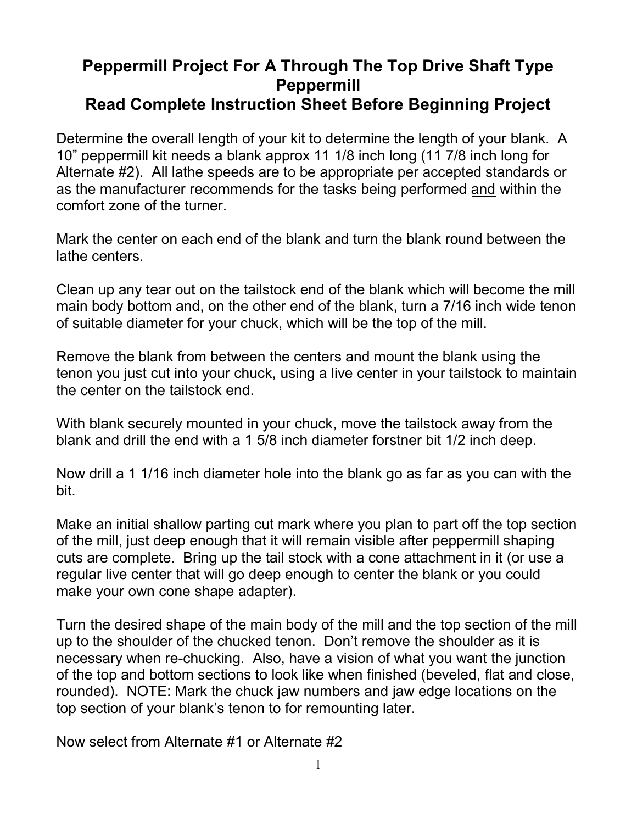# Peppermill Project For A Through The Top Drive Shaft Type Peppermill

## Read Complete Instruction Sheet Before Beginning Project

Determine the overall length of your kit to determine the length of your blank. A 10" peppermill kit needs a blank approx 11 1/8 inch long (11 7/8 inch long for Alternate #2). All lathe speeds are to be appropriate per accepted standards or as the manufacturer recommends for the tasks being performed and within the comfort zone of the turner.

Mark the center on each end of the blank and turn the blank round between the lathe centers.

Clean up any tear out on the tailstock end of the blank which will become the mill main body bottom and, on the other end of the blank, turn a 7/16 inch wide tenon of suitable diameter for your chuck, which will be the top of the mill.

Remove the blank from between the centers and mount the blank using the tenon you just cut into your chuck, using a live center in your tailstock to maintain the center on the tailstock end.

With blank securely mounted in your chuck, move the tailstock away from the blank and drill the end with a 1 5/8 inch diameter forstner bit 1/2 inch deep.

Now drill a 1 1/16 inch diameter hole into the blank go as far as you can with the bit.

Make an initial shallow parting cut mark where you plan to part off the top section of the mill, just deep enough that it will remain visible after peppermill shaping cuts are complete. Bring up the tail stock with a cone attachment in it (or use a regular live center that will go deep enough to center the blank or you could make your own cone shape adapter).

Turn the desired shape of the main body of the mill and the top section of the mill up to the shoulder of the chucked tenon. Don't remove the shoulder as it is necessary when re-chucking. Also, have a vision of what you want the junction of the top and bottom sections to look like when finished (beveled, flat and close, rounded). NOTE: Mark the chuck jaw numbers and jaw edge locations on the top section of your blank's tenon to for remounting later.

Now select from Alternate #1 or Alternate #2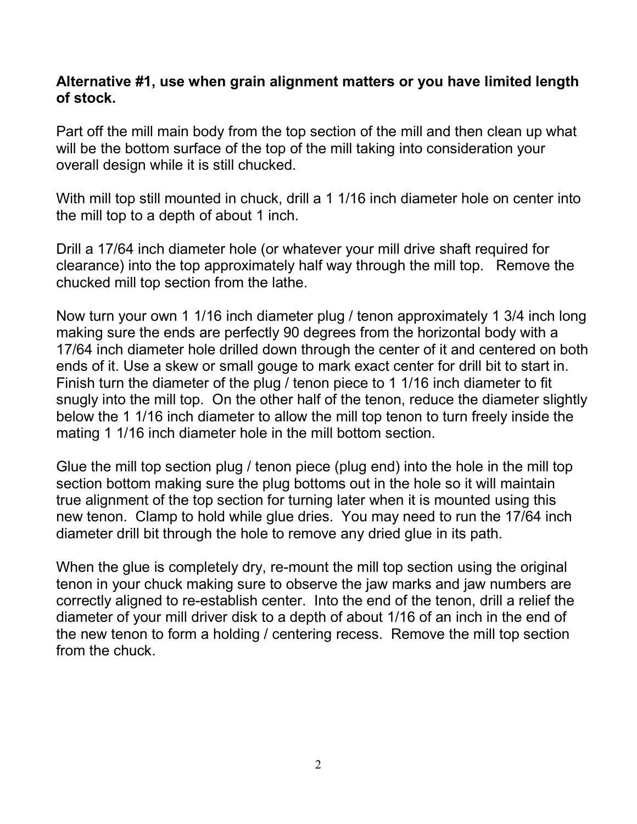#### Alternative #1, use when grain alignment matters or you have limited length of stock.

Part off the mill main body from the top section of the mill and then clean up what will be the bottom surface of the top of the mill taking into consideration your overall design while it is still chucked.

With mill top still mounted in chuck, drill a 1 1/16 inch diameter hole on center into the mill top to a depth of about 1 inch.

Drill a 17/64 inch diameter hole (or whatever your mill drive shaft required for clearance) into the top approximately half way through the mill top. Remove the chucked mill top section from the lathe.

Now turn your own 1 1/16 inch diameter plug / tenon approximately 1 3/4 inch long making sure the ends are perfectly 90 degrees from the horizontal body with a 17/64 inch diameter hole drilled down through the center of it and centered on both ends of it. Use a skew or small gouge to mark exact center for drill bit to start in. Finish turn the diameter of the plug / tenon piece to 1 1/16 inch diameter to fit snugly into the mill top. On the other half of the tenon, reduce the diameter slightly below the 1 1/16 inch diameter to allow the mill top tenon to turn freely inside the mating 1 1/16 inch diameter hole in the mill bottom section.

Glue the mill top section plug / tenon piece (plug end) into the hole in the mill top section bottom making sure the plug bottoms out in the hole so it will maintain true alignment of the top section for turning later when it is mounted using this new tenon. Clamp to hold while glue dries. You may need to run the 17/64 inch diameter drill bit through the hole to remove any dried glue in its path.

When the glue is completely dry, re-mount the mill top section using the original tenon in your chuck making sure to observe the jaw marks and jaw numbers are correctly aligned to re-establish center. Into the end of the tenon, drill a relief the diameter of your mill driver disk to a depth of about 1/16 of an inch in the end of the new tenon to form a holding / centering recess. Remove the mill top section from the chuck.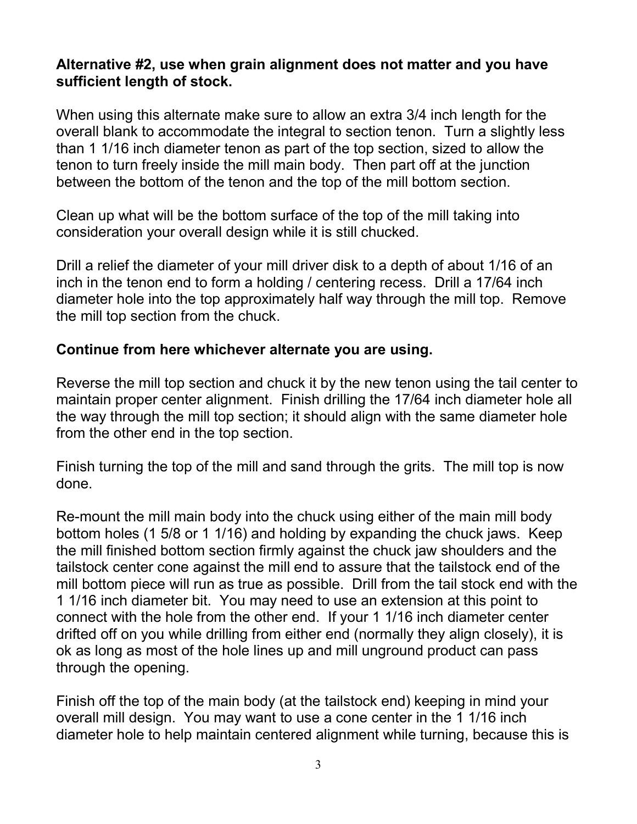### Alternative #2, use when grain alignment does not matter and you have sufficient length of stock.

When using this alternate make sure to allow an extra 3/4 inch length for the overall blank to accommodate the integral to section tenon. Turn a slightly less than 1 1/16 inch diameter tenon as part of the top section, sized to allow the tenon to turn freely inside the mill main body. Then part off at the junction between the bottom of the tenon and the top of the mill bottom section.

Clean up what will be the bottom surface of the top of the mill taking into consideration your overall design while it is still chucked.

Drill a relief the diameter of your mill driver disk to a depth of about 1/16 of an inch in the tenon end to form a holding / centering recess. Drill a 17/64 inch diameter hole into the top approximately half way through the mill top. Remove the mill top section from the chuck.

#### Continue from here whichever alternate you are using.

Reverse the mill top section and chuck it by the new tenon using the tail center to maintain proper center alignment. Finish drilling the 17/64 inch diameter hole all the way through the mill top section; it should align with the same diameter hole from the other end in the top section.

Finish turning the top of the mill and sand through the grits. The mill top is now done.

Re-mount the mill main body into the chuck using either of the main mill body bottom holes (1 5/8 or 1 1/16) and holding by expanding the chuck jaws. Keep the mill finished bottom section firmly against the chuck jaw shoulders and the tailstock center cone against the mill end to assure that the tailstock end of the mill bottom piece will run as true as possible. Drill from the tail stock end with the 1 1/16 inch diameter bit. You may need to use an extension at this point to connect with the hole from the other end. If your 1 1/16 inch diameter center drifted off on you while drilling from either end (normally they align closely), it is ok as long as most of the hole lines up and mill unground product can pass through the opening.

Finish off the top of the main body (at the tailstock end) keeping in mind your overall mill design. You may want to use a cone center in the 1 1/16 inch diameter hole to help maintain centered alignment while turning, because this is